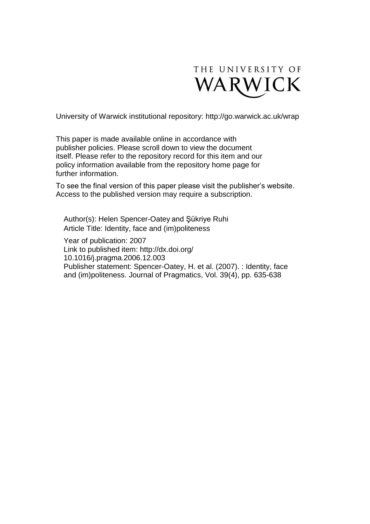

University of Warwick institutional repository:<http://go.warwick.ac.uk/wrap>

This paper is made available online in accordance with publisher policies. Please scroll down to view the document itself. Please refer to the repository record for this item and our policy information available from the repository home page for further information.

To see the final version of this paper please visit the publisher's website. Access to the published version may require a subscription.

Author(s): Helen [Spencer-Oatey](http://www.sciencedirect.com/science?_ob=ArticleURL&_udi=B6VCW-4MY6N4W-1&_user=585204&_coverDate=04%2F30%2F2007&_rdoc=1&_fmt=high&_orig=search&_sort=d&_docanchor=&view=c&_searchStrId=1371512776&_rerunOrigin=google&_acct=C000029838&_version=1&_urlVersion=0&_userid=585204&md5=8091cc05cc18106441ea3042a5092eae#vt1) and Şükriye [Ruhi](http://www.sciencedirect.com/science?_ob=ArticleURL&_udi=B6VCW-4MY6N4W-1&_user=585204&_coverDate=04%2F30%2F2007&_rdoc=1&_fmt=high&_orig=search&_sort=d&_docanchor=&view=c&_searchStrId=1371512776&_rerunOrigin=google&_acct=C000029838&_version=1&_urlVersion=0&_userid=585204&md5=8091cc05cc18106441ea3042a5092eae#vt2) Article Title: Identity, face and (im)politeness

Year of publication: 2007 Link to published item: http://dx.doi.org/ [10.1016/j.pragma.2006.12.003](http://dx.doi.org/10.1016/j.pragma.2006.12.003) Publisher statement: Spencer-Oatey, H. et al. (2007). : Identity, face and (im)politeness. [Journal of Pragmatics,](http://www.sciencedirect.com/science/journal/03782166) Vol. 39(4), pp. 635-638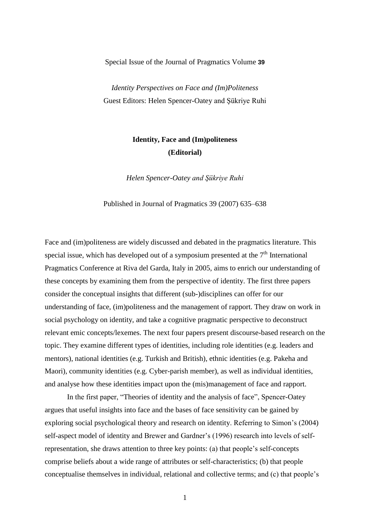Special Issue of the Journal of Pragmatics Volume **39** 

*Identity Perspectives on Face and (Im)Politeness* Guest Editors: Helen Spencer-Oatey and Şükriye Ruhi

## **Identity, Face and (Im)politeness (Editorial)**

*Helen Spencer-Oatey and Şükriye Ruhi*

Published in Journal of Pragmatics 39 (2007) 635–638

Face and (im)politeness are widely discussed and debated in the pragmatics literature. This special issue, which has developed out of a symposium presented at the  $7<sup>th</sup>$  International Pragmatics Conference at Riva del Garda, Italy in 2005, aims to enrich our understanding of these concepts by examining them from the perspective of identity. The first three papers consider the conceptual insights that different (sub-)disciplines can offer for our understanding of face, (im)politeness and the management of rapport. They draw on work in social psychology on identity, and take a cognitive pragmatic perspective to deconstruct relevant emic concepts/lexemes. The next four papers present discourse-based research on the topic. They examine different types of identities, including role identities (e.g. leaders and mentors), national identities (e.g. Turkish and British), ethnic identities (e.g. Pakeha and Maori), community identities (e.g. Cyber-parish member), as well as individual identities, and analyse how these identities impact upon the (mis)management of face and rapport.

In the first paper, "Theories of identity and the analysis of face", Spencer-Oatey argues that useful insights into face and the bases of face sensitivity can be gained by exploring social psychological theory and research on identity. Referring to Simon"s (2004) self-aspect model of identity and Brewer and Gardner"s (1996) research into levels of selfrepresentation, she draws attention to three key points: (a) that people"s self-concepts comprise beliefs about a wide range of attributes or self-characteristics; (b) that people conceptualise themselves in individual, relational and collective terms; and (c) that people"s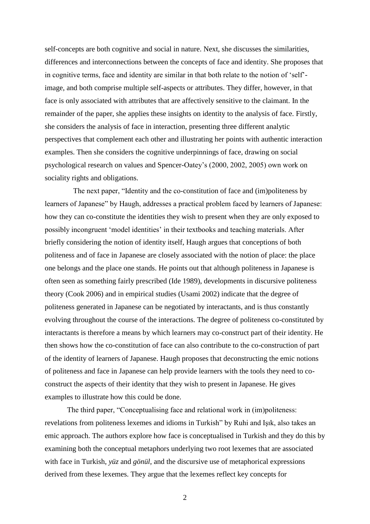self-concepts are both cognitive and social in nature. Next, she discusses the similarities, differences and interconnections between the concepts of face and identity. She proposes that in cognitive terms, face and identity are similar in that both relate to the notion of "self" image, and both comprise multiple self-aspects or attributes. They differ, however, in that face is only associated with attributes that are affectively sensitive to the claimant. In the remainder of the paper, she applies these insights on identity to the analysis of face. Firstly, she considers the analysis of face in interaction, presenting three different analytic perspectives that complement each other and illustrating her points with authentic interaction examples. Then she considers the cognitive underpinnings of face, drawing on social psychological research on values and Spencer-Oatey"s (2000, 2002, 2005) own work on sociality rights and obligations.

The next paper, "Identity and the co-constitution of face and (im)politeness by learners of Japanese" by Haugh, addresses a practical problem faced by learners of Japanese: how they can co-constitute the identities they wish to present when they are only exposed to possibly incongruent "model identities" in their textbooks and teaching materials. After briefly considering the notion of identity itself, Haugh argues that conceptions of both politeness and of face in Japanese are closely associated with the notion of place: the place one belongs and the place one stands. He points out that although politeness in Japanese is often seen as something fairly prescribed (Ide 1989), developments in discursive politeness theory (Cook 2006) and in empirical studies (Usami 2002) indicate that the degree of politeness generated in Japanese can be negotiated by interactants, and is thus constantly evolving throughout the course of the interactions. The degree of politeness co-constituted by interactants is therefore a means by which learners may co-construct part of their identity. He then shows how the co-constitution of face can also contribute to the co-construction of part of the identity of learners of Japanese. Haugh proposes that deconstructing the emic notions of politeness and face in Japanese can help provide learners with the tools they need to coconstruct the aspects of their identity that they wish to present in Japanese. He gives examples to illustrate how this could be done.

The third paper, "Conceptualising face and relational work in (im)politeness: revelations from politeness lexemes and idioms in Turkish" by Ruhi and Işık, also takes an emic approach. The authors explore how face is conceptualised in Turkish and they do this by examining both the conceptual metaphors underlying two root lexemes that are associated with face in Turkish, *yüz* and *gönül*, and the discursive use of metaphorical expressions derived from these lexemes. They argue that the lexemes reflect key concepts for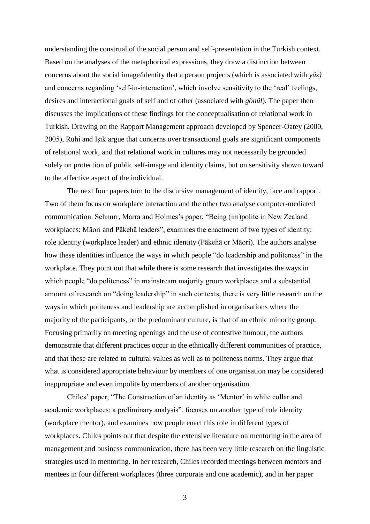understanding the construal of the social person and self-presentation in the Turkish context. Based on the analyses of the metaphorical expressions, they draw a distinction between concerns about the social image/identity that a person projects (which is associated with *yüz)*  and concerns regarding 'self-in-interaction', which involve sensitivity to the 'real' feelings, desires and interactional goals of self and of other (associated with *gönül*). The paper then discusses the implications of these findings for the conceptualisation of relational work in Turkish. Drawing on the Rapport Management approach developed by Spencer-Oatey (2000, 2005), Ruhi and Işık argue that concerns over transactional goals are significant components of relational work, and that relational work in cultures may not necessarily be grounded solely on protection of public self-image and identity claims, but on sensitivity shown toward to the affective aspect of the individual.

The next four papers turn to the discursive management of identity, face and rapport. Two of them focus on workplace interaction and the other two analyse computer-mediated communication. Schnurr, Marra and Holmes's paper, "Being (im)polite in New Zealand workplaces: Māori and Pākehā leaders", examines the enactment of two types of identity: role identity (workplace leader) and ethnic identity (Pākehā or Māori). The authors analyse how these identities influence the ways in which people "do leadership and politeness" in the workplace. They point out that while there is some research that investigates the ways in which people "do politeness" in mainstream majority group workplaces and a substantial amount of research on "doing leadership" in such contexts, there is very little research on the ways in which politeness and leadership are accomplished in organisations where the majority of the participants, or the predominant culture, is that of an ethnic minority group. Focusing primarily on meeting openings and the use of contestive humour, the authors demonstrate that different practices occur in the ethnically different communities of practice, and that these are related to cultural values as well as to politeness norms. They argue that what is considered appropriate behaviour by members of one organisation may be considered inappropriate and even impolite by members of another organisation.

Chiles" paper, "The Construction of an identity as "Mentor" in white collar and academic workplaces: a preliminary analysis", focuses on another type of role identity (workplace mentor), and examines how people enact this role in different types of workplaces. Chiles points out that despite the extensive literature on mentoring in the area of management and business communication, there has been very little research on the linguistic strategies used in mentoring. In her research, Chiles recorded meetings between mentors and mentees in four different workplaces (three corporate and one academic), and in her paper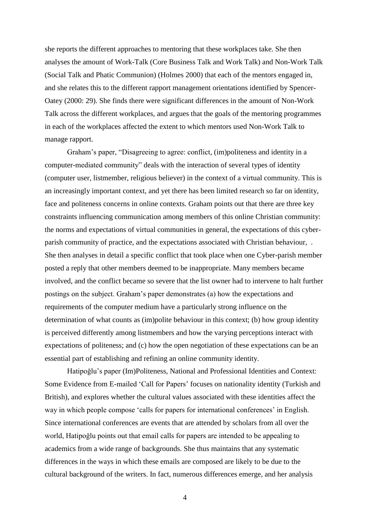she reports the different approaches to mentoring that these workplaces take. She then analyses the amount of Work-Talk (Core Business Talk and Work Talk) and Non-Work Talk (Social Talk and Phatic Communion) (Holmes 2000) that each of the mentors engaged in, and she relates this to the different rapport management orientations identified by Spencer-Oatey (2000: 29). She finds there were significant differences in the amount of Non-Work Talk across the different workplaces, and argues that the goals of the mentoring programmes in each of the workplaces affected the extent to which mentors used Non-Work Talk to manage rapport.

Graham"s paper, "Disagreeing to agree: conflict, (im)politeness and identity in a computer-mediated community" deals with the interaction of several types of identity (computer user, listmember, religious believer) in the context of a virtual community. This is an increasingly important context, and yet there has been limited research so far on identity, face and politeness concerns in online contexts. Graham points out that there are three key constraints influencing communication among members of this online Christian community: the norms and expectations of virtual communities in general, the expectations of this cyberparish community of practice, and the expectations associated with Christian behaviour, . She then analyses in detail a specific conflict that took place when one Cyber-parish member posted a reply that other members deemed to be inappropriate. Many members became involved, and the conflict became so severe that the list owner had to intervene to halt further postings on the subject. Graham"s paper demonstrates (a) how the expectations and requirements of the computer medium have a particularly strong influence on the determination of what counts as (im)polite behaviour in this context; (b) how group identity is perceived differently among listmembers and how the varying perceptions interact with expectations of politeness; and (c) how the open negotiation of these expectations can be an essential part of establishing and refining an online community identity.

Hatipoğlu"s paper (Im)Politeness, National and Professional Identities and Context: Some Evidence from E-mailed 'Call for Papers' focuses on nationality identity (Turkish and British), and explores whether the cultural values associated with these identities affect the way in which people compose 'calls for papers for international conferences' in English. Since international conferences are events that are attended by scholars from all over the world, Hatipoğlu points out that email calls for papers are intended to be appealing to academics from a wide range of backgrounds. She thus maintains that any systematic differences in the ways in which these emails are composed are likely to be due to the cultural background of the writers. In fact, numerous differences emerge, and her analysis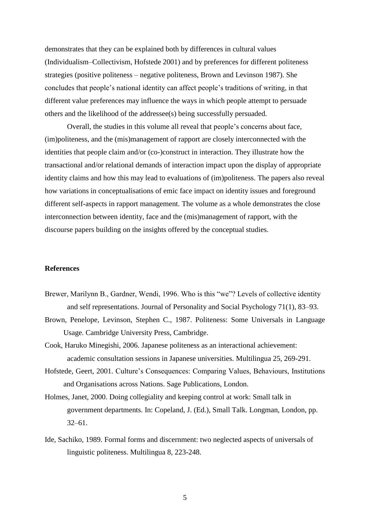demonstrates that they can be explained both by differences in cultural values (Individualism–Collectivism, Hofstede 2001) and by preferences for different politeness strategies (positive politeness – negative politeness, Brown and Levinson 1987). She concludes that people"s national identity can affect people"s traditions of writing, in that different value preferences may influence the ways in which people attempt to persuade others and the likelihood of the addressee(s) being successfully persuaded.

Overall, the studies in this volume all reveal that people"s concerns about face, (im)politeness, and the (mis)management of rapport are closely interconnected with the identities that people claim and/or (co-)construct in interaction. They illustrate how the transactional and/or relational demands of interaction impact upon the display of appropriate identity claims and how this may lead to evaluations of (im)politeness. The papers also reveal how variations in conceptualisations of emic face impact on identity issues and foreground different self-aspects in rapport management. The volume as a whole demonstrates the close interconnection between identity, face and the (mis)management of rapport, with the discourse papers building on the insights offered by the conceptual studies.

## **References**

- Brewer, Marilynn B., Gardner, Wendi, 1996. Who is this "we"? Levels of collective identity and self representations. Journal of Personality and Social Psychology 71(1), 83–93.
- Brown, Penelope, Levinson, Stephen C., 1987. Politeness: Some Universals in Language Usage. Cambridge University Press, Cambridge.
- Cook, Haruko Minegishi, 2006. Japanese politeness as an interactional achievement: academic consultation sessions in Japanese universities. Multilingua 25, 269-291.
- Hofstede, Geert, 2001. Culture"s Consequences: Comparing Values, Behaviours, Institutions and Organisations across Nations. Sage Publications, London.
- Holmes, Janet, 2000. Doing collegiality and keeping control at work: Small talk in government departments. In: Copeland, J. (Ed.), Small Talk. Longman, London, pp. 32–61.
- Ide, Sachiko, 1989. Formal forms and discernment: two neglected aspects of universals of linguistic politeness. Multilingua 8, 223-248.